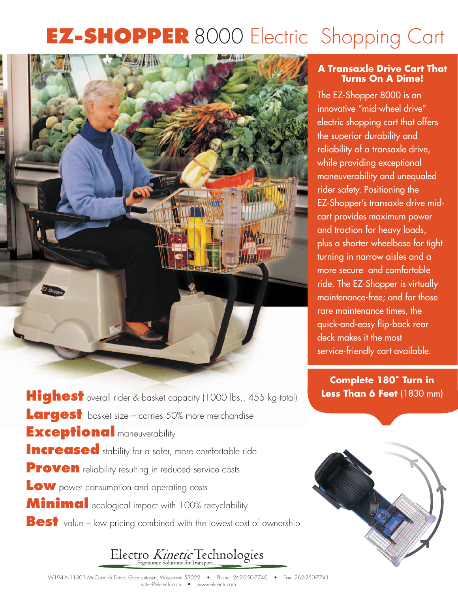# **EZ-SHOPPER** 8000 Electric Shopping Cart



**Highest** overall rider & basket capacity (1000 lbs., 455 kg total) **Largest** basket size – carries 50% more merchandise **Exceptional** maneuverability **Increased** stability for a safer, more comfortable ride **Proven** reliability resulting in reduced service costs **Low** power consumption and operating costs **Minimal** ecological impact with 100% recyclability **Best** value – low pricing combined with the lowest cost of ownership

### Electro Kinetic Technologies

### **A Transaxle Drive Cart That Turns On A Dime!**

The EZ-Shopper 8000 is an innovative "mid-wheel drive" electric shopping cart that offers the superior durability and reliability of a transaxle drive, while providing exceptional maneuverability and unequaled rider safety. Positioning the EZ-Shopper's transaxle drive midcart provides maximum power and traction for heavy loads, plus a shorter wheelbase for tight turning in narrow aisles and a more secure and comfortable ride. The EZ-Shopper is virtually maintenance-free; and for those rare maintenance times, the quick-and-easy flip-back rear deck makes it the most service-friendly cart available.

Less Than 6 Feet (1830 mm) **Complete 180˚ Turn in Less Than 6 Feet** (1830 mm)